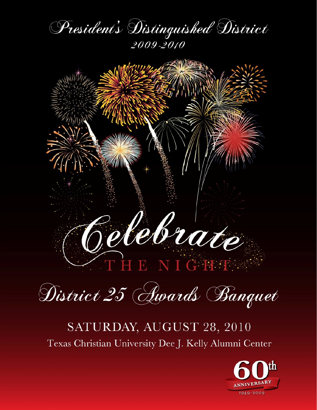





## SATURDAY, AUGUST 28, 2010 Texas Christian University Dee J. Kelly Alumni Center

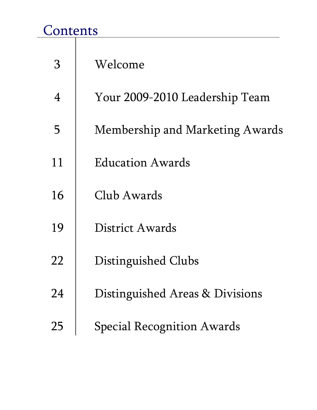## Contents

| З              | Welcome                           |
|----------------|-----------------------------------|
| $\overline{4}$ | Your 2009-2010 Leadership Team    |
| 5              | Membership and Marketing Awards   |
| 11             | Education Awards                  |
| 16             | Club Awards                       |
| 19             | District Awards                   |
| 22             | Distinguished Clubs               |
| 24             | Distinguished Areas & Divisions   |
| 25             | <b>Special Recognition Awards</b> |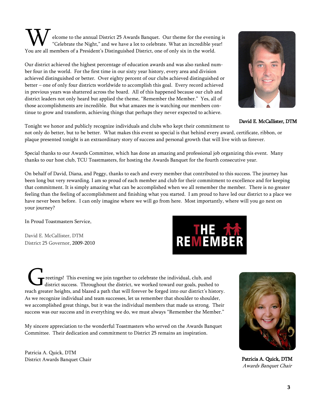elcome to the annual District 25 Awards Banquet. Our theme for the evening is "Celebrate the Night," and we have a lot to celebrate. What an incredible year! **W** elcome to the annual District 25 Awards Banquet. Our theme for the evenimely "Celebrate the Night," and we have a lot to celebrate. What an incredible year of a President's Distinguished District, one of only six in th

Our district achieved the highest percentage of education awards and was also ranked number four in the world. For the first time in our sixty year history, every area and division achieved distinguished or better. Over eighty percent of our clubs achieved distinguished or better – one of only four districts worldwide to accomplish this goal. Every record achieved in previous years was shattered across the board. All of this happened because our club and district leaders not only heard but applied the theme, "Remember the Member." Yes, all of those accomplishments are incredible. But what amazes me is watching our members continue to grow and transform, achieving things that perhaps they never expected to achieve.



not only do better, but to be better. What makes this event so special is that behind every award, certificate, ribbon, or plaque presented tonight is an extraordinary story of success and personal growth that will live with us forever.

Special thanks to our Awards Committee, which has done an amazing and professional job organizing this event. Many thanks to our host club, TCU Toastmasters, for hosting the Awards Banquet for the fourth consecutive year.

On behalf of David, Diana, and Peggy, thanks to each and every member that contributed to this success. The journey has been long but very rewarding. I am so proud of each member and club for their commitment to excellence and for keeping that commitment. It is simply amazing what can be accomplished when we all remember the member. There is no greater feeling than the feeling of accomplishment and finishing what you started. I am proud to have led our district to a place we have never been before. I can only imagine where we will go from here. Most importantly, where will you go next on your journey?

In Proud Toastmasters Service,

David E. McCallister, DTM District 25 Governor, 2009-2010

reetings! This evening we join together to celebrate the individual, club, and district success. Throughout the district, we worked toward our goals, pushed to reach greater heights, and blazed a path that will forever be forged into our district's history. As we recognize individual and team successes, let us remember that shoulder to shoulder, we accomplished great things, but it was the individual members that made us strong. Their success was our success and in everything we do, we must always "Remember the Member."

My sincere appreciation to the wonderful Toastmasters who served on the Awards Banquet Committee. Their dedication and commitment to District 25 remains an inspiration.

Patricia A. Quick, DTM District Awards Banquet Chair Patricia A. Quick, DTM

3





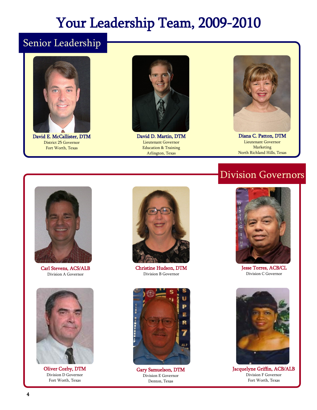## Your Leadership Team, 2009-2010

## Senior Leadership



David E. McCallister, DTM District 25 Governor Fort Worth, Texas



David D. Martin, DTM Lieutenant Governor Education & Training Arlington, Texas



Diana C. Patton, DTM Lieutenant Governor Marketing North Richland Hills, Texas

## Division Governors



Carl Stevens, ACS/ALB Division A Governor



Oliver Cozby, DTM Division D Governor Fort Worth, Texas



Christine Hudson, DTM Division B Governor



Gary Samuelson, DTM Division E Governor Denton, Texas



Jesse Torres, ACB/CL Division C Governor



Jacquelyne Griffin, ACB/ALB Division F Governor Fort Worth, Texas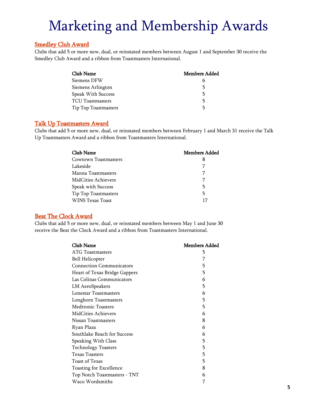### Smedley Club Award

Clubs that add 5 or more new, dual, or reinstated members between August 1 and September 30 receive the Smedley Club Award and a ribbon from Toastmasters International.

| Club Name                 | <b>Members Added</b> |
|---------------------------|----------------------|
| Siemens DFW               | b                    |
| Siemens Arlington         | 5                    |
| <b>Speak With Success</b> | 5                    |
| <b>TCU</b> Toastmasters   | 5                    |
| Tip Top Toastmasters      | 5                    |

### Talk Up Toastmasters Award

Clubs that add 5 or more new, dual, or reinstated members between February 1 and March 31 receive the Talk Up Toastmasters Award and a ribbon from Toastmasters International.

| Club Name            | <b>Members Added</b> |
|----------------------|----------------------|
| Cowtown Toastmasters | 8                    |
| Lakeside             | 7                    |
| Manna Toastmasters   |                      |
| MidCities Achievers  | 7                    |
| Speak with Success   | 5                    |
| Tip Top Toastmasters | 5                    |
| WINS Texas Toast     | 17                   |

### Beat The Clock Award

Clubs that add 5 or more new, dual, or reinstated members between May 1 and June 30 receive the Beat the Clock Award and a ribbon from Toastmasters International.

| Club Name                       | Members Added |
|---------------------------------|---------------|
| ATG Toastmasters                | 5             |
| <b>Bell Helicopter</b>          | 7             |
| <b>Connection Communicators</b> | 5             |
| Heart of Texas Bridge Gappers   | 5             |
| Las Colinas Communicators       | 6             |
| LM AeroSpeakers                 | 5             |
| Lonestar Toastmasters           | 6             |
| Longhorn Toastmasters           | 5             |
| <b>Medtronic Toasters</b>       | 5             |
| <b>MidCities Achievers</b>      | 6             |
| Nissan Toastmasters             | 8             |
| Ryan Plaza                      | 6             |
| Southlake Reach for Success     | 6             |
| Speaking With Class             | 5             |
| <b>Technology Toasters</b>      | 5             |
| <b>Texas Toasters</b>           | 5             |
| <b>Toast of Texas</b>           | 5             |
| Toasting for Excellence         | 8             |
| Top Notch Toastmasters - TNT    | 6             |
| Waco Wordsmiths                 | 7             |
|                                 |               |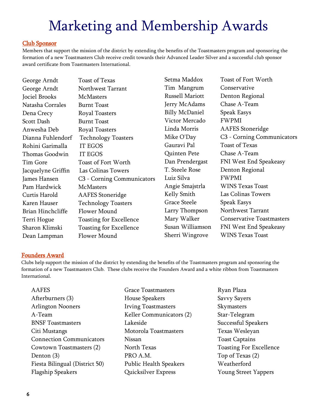### Club Sponsor

Members that support the mission of the district by extending the benefits of the Toastmasters program and sponsoring the formation of a new Toastmasters Club receive credit towards their Advanced Leader Silver and a successful club sponsor award certificate from Toastmasters International.

George Arndt Toast of Texas George Arndt Northwest Tarrant Jociel Brooks McMasters Natasha Corrales Burnt Toast Dena Crecy Royal Toasters Scott Dash Burnt Toast Anwesha Deb Royal Toasters Rohini Garimalla IT EGOS Thomas Goodwin IT EGOS Tim Gore Toast of Fort Worth Jacquelyne Griffin Las Colinas Towers Pam Hardwick McMasters Curtis Harold AAFES Stoneridge Brian Hinchcliffe Flower Mound Dean Lampman Flower Mound

Dianna Fuhlendorf Technology Toasters James Hansen C3 - Corning Communicators Karen Hauser Technology Toasters Terri Hogue Toasting for Excellence Sharon Klimski Toasting for Excellence

Tim Mangrum Conservative Russell Mariott Denton Regional Jerry McAdams Chase A-Team Billy McDaniel Speak Easys Victor Mercado FWPMI Gauravi Pal Toast of Texas Quinten Pete Chase A-Team T. Steele Rose Denton Regional Luiz Silva FWPMI Grace Steele Speak Easys

Setma Maddox Toast of Fort Worth Linda Morris AAFES Stoneridge Mike O'Day C3 - Corning Communicators Dan Prendergast FNI West End Speakeasy Angie Smajstrla WINS Texas Toast Kelly Smith Las Colinas Towers Larry Thompson Northwest Tarrant Mary Walker Conservative Toastmasters Susan Williamson FNI West End Speakeasy Sherri Wingrove WINS Texas Toast

### Founders Award

Clubs help support the mission of the district by extending the benefits of the Toastmasters program and sponsoring the formation of a new Toastmasters Club. These clubs receive the Founders Award and a white ribbon from Toastmasters International.

| <b>AAFES</b>                    | <b>Grace Toastmasters</b>     |
|---------------------------------|-------------------------------|
| Afterburners (3)                | <b>House Speakers</b>         |
| <b>Arlington Nooners</b>        | <b>Irving Toastmasters</b>    |
| $A$ -Team                       | Keller Communicators (2)      |
| <b>BNSF</b> Toastmasters        | Lakeside                      |
| Citi Mustangs                   | Motorola Toastmasters         |
| <b>Connection Communicators</b> | Nissan                        |
| Cowtown Toastmasters (2)        | North Texas                   |
| Denton (3)                      | PRO A.M.                      |
| Fiesta Bilingual (District 50)  | <b>Public Health Speakers</b> |
| <b>Flagship Speakers</b>        | Quicksilver Express           |

Ryan Plaza Savvy Sayers Skymasters Star-Telegram Successful Speakers Texas Wesleyan Toast Captains Toasting For Excellence Top of Texas (2) Weatherford Young Street Yappers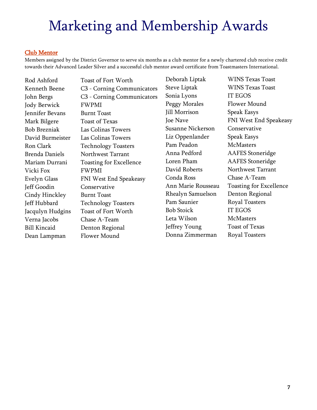### Club Mentor

Members assigned by the District Governor to serve six months as a club mentor for a newly chartered club receive credit towards their Advanced Leader Silver and a successful club mentor award certificate from Toastmasters International.

Jody Berwick FWPMI Jennifer Bevans Burnt Toast Mark Bilgere Toast of Texas Vicki Fox FWPMI Jeff Goodin Conservative Cindy Hinckley Burnt Toast Verna Jacobs Chase A-Team Bill Kincaid Denton Regional Dean Lampman Flower Mound

Rod Ashford Toast of Fort Worth Kenneth Beene C3 - Corning Communicators John Bergs C3 - Corning Communicators Bob Brezniak Las Colinas Towers David Burmeister Las Colinas Towers Ron Clark Technology Toasters Brenda Daniels Northwest Tarrant Mariam Durrani Toasting for Excellence Evelyn Glass FNI West End Speakeasy Jeff Hubbard Technology Toasters Jacqulyn Hudgins Toast of Fort Worth

Deborah Liptak WINS Texas Toast Steve Liptak WINS Texas Toast Sonia Lyons IT EGOS Peggy Morales Flower Mound Jill Morrison Speak Easys Susanne Nickerson Conservative Liz Oppenlander Speak Easys Pam Peadon McMasters Anna Pedford AAFES Stoneridge Loren Pham AAFES Stoneridge David Roberts Northwest Tarrant Conda Ross Chase A-Team Rhealyn Samuelson Denton Regional Pam Saunier Royal Toasters Bob Stoick IT EGOS Leta Wilson McMasters Jeffrey Young Toast of Texas

Joe Nave FNI West End Speakeasy Ann Marie Rousseau Toasting for Excellence Donna Zimmerman Royal Toasters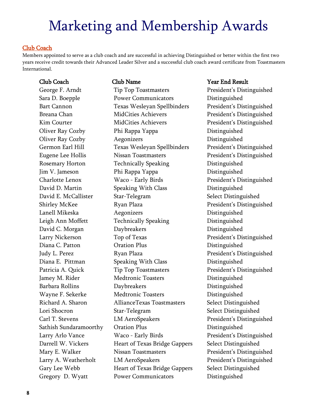### Club Coach

Members appointed to serve as a club coach and are successful in achieving Distinguished or better within the first two years receive credit towards their Advanced Leader Silver and a successful club coach award certificate from Toastmasters International.

George F. Arndt Tip Top Toastmasters President's Distinguished Sara D. Boepple Power Communicators Distinguished Bart Cannon Texas Wesleyan Spellbinders President's Distinguished Breana Chan MidCities Achievers President's Distinguished Kim Courter **MidCities Achievers** President's Distinguished Oliver Ray Cozby Phi Rappa Yappa Passachus Distinguished Oliver Ray Cozby Aegonizers Distinguished Germon Earl Hill Texas Wesleyan Spellbinders President's Distinguished Eugene Lee Hollis Nissan Toastmasters President's Distinguished Rosemary Horton Technically Speaking Distinguished Jim V. Jameson Phi Rappa Yappa Distinguished Charlotte Lenox Waco - Early Birds President's Distinguished David D. Martin Speaking With Class Distinguished David E. McCallister Star-Telegram Select Distinguished Shirley McKee Ryan Plaza President's Distinguished Lanell Mikeska Aegonizers Distinguished Leigh Ann Moffett Technically Speaking Distinguished David C. Morgan Daybreakers Distinguished Larry Nickerson Top of Texas President's Distinguished Diana C. Patton Cration Plus Distinguished Judy L. Perez Ryan Plaza President's Distinguished Diana E. Pittman Speaking With Class Distinguished Patricia A. Quick Tip Top Toastmasters President's Distinguished Jamey M. Rider **Medtronic Toasters** Distinguished Barbara Rollins Daybreakers Distinguished Wayne F. Sekerke Medtronic Toasters Distinguished Richard A. Sharon AllianceTexas Toastmasters Select Distinguished Lori Shocron Star-Telegram Select Distinguished Carl T. Stevens LM AeroSpeakers President's Distinguished Sathish Sundaramoorthy Oration Plus Distinguished Larry Arlo Vance Waco - Early Birds President's Distinguished Darrell W. Vickers **Heart of Texas Bridge Gappers** Select Distinguished Mary E. Walker Nissan Toastmasters President's Distinguished Larry A. Weatherholt LM AeroSpeakers **President's Distinguished** Gary Lee Webb **Heart of Texas Bridge Gappers** Select Distinguished Gregory D. Wyatt Power Communicators Distinguished

### Club Coach Club Name Year End Result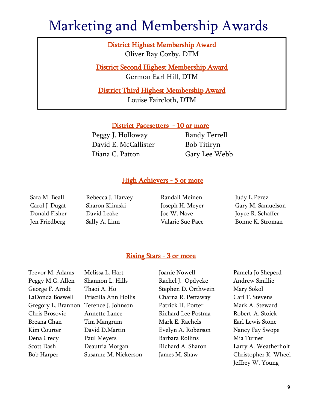District Highest Membership Award Oliver Ray Cozby, DTM

District Second Highest Membership Award Germon Earl Hill, DTM

District Third Highest Membership Award Louise Faircloth, DTM

### District Pacesetters - 10 or more

Peggy J. Holloway Randy Terrell David E. McCallister Bob Titiryn Diana C. Patton Gary Lee Webb

### High Achievers - 5 or more

Sara M. Beall Rebecca J. Harvey Randall Meinen Judy L. Perez

Carol J Dugat Sharon Klimski Joseph H. Meyer Gary M. Samuelson Donald Fisher David Leake Joe W. Nave Joyce R. Schaffer Jen Friedberg Sally A. Linn Valarie Sue Pace Bonne K. Stroman

### Rising Stars - 3 or more

Trevor M. Adams Melissa L. Hart Joanie Nowell Pamela Jo Sheperd

Peggy M.G. Allen Shannon L. Hills Rachel J. Opdycke Andrew Smillie George F. Arndt Thaoi A. Ho Stephen D. Orthwein Mary Sokol LaDonda Boswell Priscilla Ann Hollis Charna R. Pettaway Carl T. Stevens Gregory L. Brannon Terence J. Johnson Patrick H. Porter Mark A. Steward Chris Brosovic Annette Lance Richard Lee Postma Robert A. Stoick Breana Chan Tim Mangrum Mark E. Rachels Earl Lewis Stone Kim Courter **David D.Martin** Evelyn A. Roberson Nancy Fay Swope Dena Crecy Paul Meyers Barbara Rollins Mia Turner

Scott Dash Deautria Morgan Richard A. Sharon Larry A. Weatherholt Bob Harper Susanne M. Nickerson James M. Shaw Christopher K. Wheel Jeffrey W. Young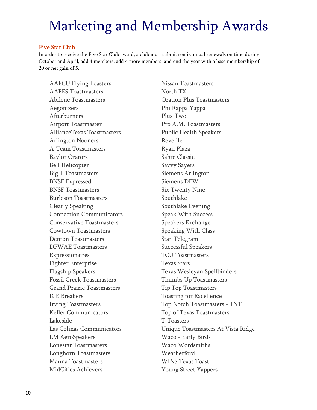### Five Star Club

In order to receive the Five Star Club award, a club must submit semi-annual renewals on time during October and April, add 4 members, add 4 more members, and end the year with a base membership of 20 or net gain of 5.

AAFCU Flying Toasters Nissan Toastmasters AAFES Toastmasters North TX Abilene Toastmasters **Constanting Constanting Constanting Constanting Constanting Constanting Constanting Constanting Constanting Constanting Constanting Constanting Constanting Constanting Constanting Constanting Constant** Aegonizers Phi Rappa Yappa Afterburners Plus-Two Airport Toastmaster Pro A.M. Toastmasters AllianceTexas Toastmasters Public Health Speakers Arlington Nooners Reveille A-Team Toastmasters **Ryan Plaza** Baylor Orators Sabre Classic Bell Helicopter Savvy Sayers Big T Toastmasters Siemens Arlington BNSF Expressed Siemens DFW BNSF Toastmasters Six Twenty Nine Burleson Toastmasters **Southlake** Clearly Speaking Southlake Evening Connection Communicators Speak With Success Conservative Toastmasters Speakers Exchange Cowtown Toastmasters Speaking With Class Denton Toastmasters Star-Telegram DFWAE Toastmasters Successful Speakers Expressionaires TCU Toastmasters Fighter Enterprise Texas Stars Flagship Speakers Texas Wesleyan Spellbinders Fossil Creek Toastmasters Thumbs Up Toastmasters Grand Prairie Toastmasters Tip Top Toastmasters ICE Breakers Toasting for Excellence Keller Communicators Top of Texas Toastmasters Lakeside T-Toasters LM AeroSpeakers Waco - Early Birds Lonestar Toastmasters Waco Wordsmiths Longhorn Toastmasters Weatherford Manna Toastmasters WINS Texas Toast MidCities Achievers Young Street Yappers

Irving Toastmasters Top Notch Toastmasters - TNT Las Colinas Communicators Unique Toastmasters At Vista Ridge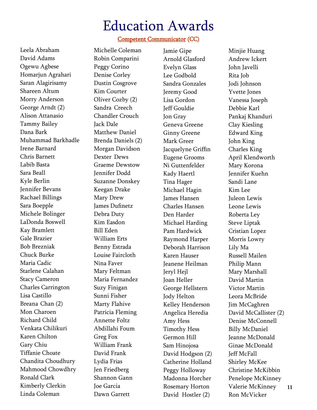### Competent Communicator (CC)

Leela Abraham David Adams Ogewu Agbese Homarjun Agrahari Saran Alagirisamy Shareen Altum Morry Anderson George Arndt (2) Alison Attanasio Tammy Bailey Dana Bark Muhammad Barkhadle Irene Barnard Chris Barnett Labib Basta Sara Beall Kyle Berlin Jennifer Bevans Rachael Billings Sara Boepple Michele Bolinger LaDonda Boswell Kay Bramlett Gale Brazier Bob Brezniak Chuck Burke Maria Cadic Starlene Calahan Stacy Cameron Charles Carrington Lisa Castillo Breana Chan (2) Mon Charoen Richard Child Venkata Chilikuri Karen Chilton Gary Chiu Tiffanie Choate Chandita Choudhury Mahmood Chowdhry Ronald Clark Kimberly Clerkin Linda Coleman

Michelle Coleman Robin Comparini Peggy Corino Denise Corley Dustin Cosgrove Kim Courter Oliver Cozby (2) Sandra Creech Chandler Crouch Jack Dale Matthew Daniel Brenda Daniels (2) Morgan Davidson Dexter Dews Graeme Dewstow Jennifer Dodd Suzanne Donskey Keegan Drake Mary Drew James Dufinetz Debra Duty Kim Easdon Bill Eden William Erts Benny Estrada Louise Faircloth Nina Faver Mary Feltman Maria Fernandez Suzy Finigan Sunni Fisher Marty Flahive Patricia Fleming Annette Foltz Abdillahi Foum Greg Fox William Frank David Frank Lydia Frias Jen Friedberg Shannon Gann Joe Garcia Dawn Garrett

Jamie Gipe Arnold Glasford Evelyn Glass Lee Godbold Sandra Gonzales Jeremy Good Lisa Gordon Jeff Gouldie Jon Gray Geneva Greene Ginny Greene Mark Greer Jacquelyne Griffin Eugene Grooms Ni Guttenfelder Kady Haertl Tina Hager Michael Hagin James Hansen Charles Hansen Den Harder Michael Harding Pam Hardwick Raymond Harper Deborah Harrison Karen Hauser Jeanene Heilman Jeryl Hejl Joan Heller George Hellstern Jody Helton Kelley Henderson Angelica Heredia Amy Hess Timothy Hess Germon Hill Sam Hinojosa David Hodgson (2) Catherine Holland Peggy Holloway Madonna Horcher Rosemary Horton David Hostler (2)

Minjie Huang Andrew Ickert John Javelli Rita Job Jodi Johnson Yvette Jones Vanessa Joseph Debbie Karl Pankaj Khanduri Clay Kiesling Edward King John King Charles King April Klendworth Mary Korona Jennifer Kuehn Sandi Lane Kim Lee Juleon Lewis Leone Lewis Roberta Ley Steve Liptak Cristian Lopez Morris Lowry Lily Ma Russell Mailen Philip Mann Mary Marshall David Martin Victor Martin Leora McBride Jim McCaghren David McCallister (2) Denise McConnell Billy McDaniel Jeanne McDonald Ginae McDonald Jeff McFall Shirley McKee Christine McKibbin Penelope McKinney Valerie McKinney Ron McVicker

11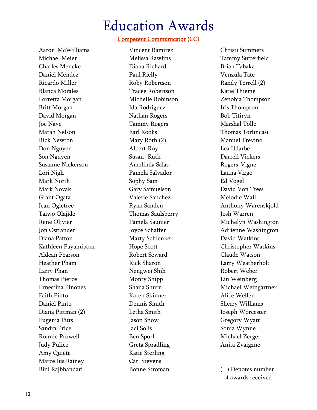### Competent Communicator (CC)

Aaron McWilliams Michael Meier Charles Mencke Daniel Mendez Ricardo Miller Blanca Morales Lorretta Morgan Britt Morgan David Morgan Joe Nave Marah Nelson Rick Newton Don Nguyen Son Nguyen Susanne Nickerson Lori Nigh Mark North Mark Novak Grant Ogata Jean Ogletree Taiwo Olajide Rene Olivier Jon Ostrander Diana Patton Kathleen Payamipour Aldean Pearson Heather Pham Larry Phan Thomas Pierce Ernestina Pinones Faith Pinto Daniel Pinto Diana Pittman (2) Eugenia Pitts Sandra Price Ronnie Prowell Judy Pulice Amy Quiett Marcellus Rainey Bini Rajbhandari

Vincent Ramirez Melissa Rawlins Diana Richard Paul Rielly Roby Robertson Tracee Robertson Michelle Robinson Ida Rodriguez Nathan Rogers Tammy Rogers Earl Rooks Mary Roth (2) Albert Roy Susan Ruth Amelinda Salas Pamela Salvador Sophy Sam Gary Samuelson Valerie Sanchez Ryan Sanden Thomas Saulsberry Pamela Saunier Joyce Schaffer Marty Schlenker Hope Scott Robert Seward Rick Sharon Nengwei Shih Monty Shipp Shana Shurn Karen Skinner Dennis Smith Letha Smith Jason Snow Jaci Solis Ben Sporl Greta Spradling Katie Sterling Carl Stevens Bonne Stroman

Christi Summers Tammy Sutterfield Brian Tabaka Venzula Tate Randy Terrell (2) Katie Thieme Zenobia Thompson Iris Thompson Bob Titiryn Marshal Tolle Thomas Torlincasi Manuel Trevino Lea Udarbe Darrell Vickers Rogers Vigne Launa Virgo Ed Vogel David Von Tress Melodie Wall Anthony Warenskjold Josh Warren Michelyn Washington Adrienne Washington David Watkins Christopher Watkins Claude Watson Larry Weatherholt Robert Weber Lin Weinberg Michael Weingartner Alice Wellen Sherry Williams Joseph Worcester Gregory Wyatt Sonia Wynne Michael Zerger Anita Zvaigzne

( ) Denotes number of awards received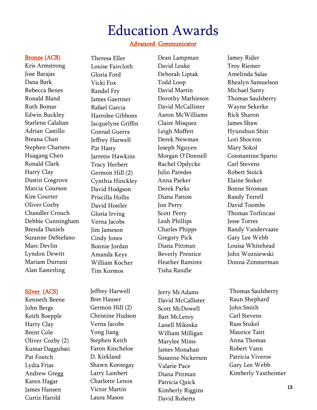### Advanced Communicator

Dean Lampman David Leake Deborah Liptak

Dorothy Mathieson David McCallister Aaron McWilliams Claire Misquez Leigh Moffett Derek Newman Joseph Nguyen Morgan O'Donnell Rachel Opdycke Julio Paredes Anna Parker Derek Parks Diana Patton Jon Perry Scott Perry

Todd Loop David Martin

### Bronze (ACB)

Kris Armstrong Jose Barajas Dana Bark Rebecca Benes Ronald Bland Ruth Bomar Edwin Buckley Starlene Calahan Adrian Castillo Breana Chan Stephen Charters Huagang Chen Ronald Clark Harry Clay Dustin Cosgrove Marcia Courson Kim Courter Oliver Cozby Chandler Crouch Debbie Cunningham Brenda Daniels Suzanne DeStefano Marc Devlin Lyndon Dewitt Mariam Durrani Alan Easterling

### Silver (ACS)

Kenneth Beene John Bergs Keith Boepple Harry Clay Brent Cole Oliver Cozby (2) Kumar Daggubati Pat Foutch Lydia Frias Andrew Gregg Karen Hagar James Hansen Curtis Harold

Theresa Eller Louise Faircloth Gloria Ford Vicki Fox Randel Fry James Gaertner Rafael Garcia Harrolee Gibbons Jacquelyne Griffin Conrad Guerra Jeffrey Harwell Pat Hasty Jarrette Hawkins Tracy Herbert Germon Hill (2) Cynthia Hinckley David Hodgson Priscilla Hollis David Hostler Gloria Irving Verna Jacobs Jim Jameson Cindy Jones Bonnie Jordan Amanda Keys William Kocher Tim Kormos

Jeffrey Harwell Bret Hauser Germon Hill (2) Christine Hudson Verna Jacobs Yong Jiang Stephen Keith Faron Kincheloe D. Kirkland Shawn Kornegay Larry Lambert Charlotte Lenox Victor Martin Laura Mason

Leah Phillips Charles Phipps Gregory Pick Diana Pittman Beverly Prentice Heather Ramirez Tisha Randle Jerry McAdams David McCallister Scott McDowell Bart McLeroy Lanell Mikeska William Milligan Marylee Mims James Monahan Susanne Nickerson Valarie Pace Diana Pittman Patricia Quick Kimberly Riggins David Roberts

Jamey Rider Troy Riemer Amelinda Salas Rhealyn Samuelson Michael Santy Thomas Saulsberry Wayne Sekerke Rick Sharon James Shaw Hyunshun Shin Lori Shocron Mary Sokol Constantine Sparto Carl Stevens Robert Stoick Elaine Stoker Bonne Stroman Randy Terrell David Toombs Thomas Torlincasi Jesse Torres Randy Vandervaate Gary Lee Webb Louisa Whitehead John Wozniewski Donna Zimmerman

Thomas Saulsberry Raun Shephard John Smith Carl Stevens Russ Stukel Maurice Taitt Anna Thomas Robert Vann Patricia Viveros Gary Lee Webb Kimberly Yaxtheimer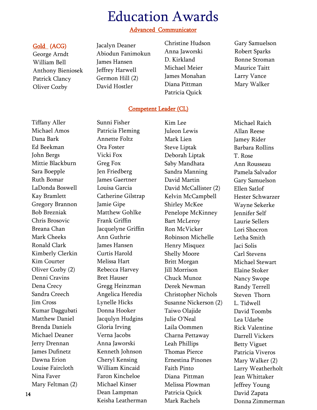### Advanced Communicator

### Gold (ACG)

George Arndt William Bell Anthony Bieniosek Patrick Clancy Oliver Cozby

Jacalyn Deaner Abiodun Fanimokun James Hansen Jeffrey Harwell Germon Hill (2) David Hostler

- Christine Hudson Anna Jaworski D. Kirkland Michael Meier James Monahan Diana Pittman Patricia Quick
- Gary Samuelson Robert Sparks Bonne Stroman Maurice Taitt Larry Vance Mary Walker

### Competent Leader (CL)

Tiffany Aller Michael Amos Dana Bark Ed Beekman John Bergs Mittie Blackburn Sara Boepple Ruth Bomar LaDonda Boswell Kay Bramlett Gregory Brannon Bob Brezniak Chris Brosovic Breana Chan Mark Cheeks Ronald Clark Kimberly Clerkin Kim Courter Oliver Cozby (2) Denni Cravins Dena Crecy Sandra Creech Jim Cross Kumar Daggubati Matthew Daniel Brenda Daniels Michael Deaner Jerry Drennan James Dufinetz Dawna Erion Louise Faircloth Nina Faver Mary Feltman (2)

Sunni Fisher Patricia Fleming Annette Foltz Ora Foster Vicki Fox Greg Fox Jen Friedberg James Gaertner Louisa Garcia Catherine Gilstrap Jamie Gipe Matthew Gohlke Frank Griffin Jacquelyne Griffin Ann Guthrie James Hansen Curtis Harold Melissa Hart Rebecca Harvey Bret Hauser Gregg Heinzman Angelica Heredia Lynelle Hicks Donna Hooker Jacqulyn Hudgins Gloria Irving Verna Jacobs Anna Jaworski Kenneth Johnson Cheryl Kensing William Kincaid Faron Kincheloe Michael Kinser Dean Lampman Keisha Leatherman Kim Lee Juleon Lewis Mark Lien Steve Liptak Deborah Liptak Saby Mandhata Sandra Manning David Martin David McCallister (2) Kelvin McCampbell Shirley McKee Penelope McKinney Bart McLeroy Ron McVicker Robinson Michelle Henry Misquez Shelly Moore Britt Morgan Jill Morrison Chuck Munoz Derek Newman Christopher Nichols Susanne Nickerson (2) Taiwo Olajide Julie O'Neal Laila Oommen Charna Pettaway Leah Phillips Thomas Pierce Ernestina Pinones Faith Pinto Diana Pittman Melissa Plowman Patricia Quick Mark Rachels

Michael Raich Allan Reese Jamey Rider Barbara Rollins T. Rose Ann Rousseau Pamela Salvador Gary Samuelson Ellen Satlof Hester Schwarzer Wayne Sekerke Jennifer Self Laurie Sellers Lori Shocron Letha Smith Jaci Solis Carl Stevens Michael Stewart Elaine Stoker Nancy Swope Randy Terrell Steven Thorn L. Tidwell David Toombs Lea Udarbe Rick Valentine Darrell Vickers Betty Viguet Patricia Viveros Mary Walker (2) Larry Weatherholt Jean Whittaker Jeffrey Young David Zapata Donna Zimmerman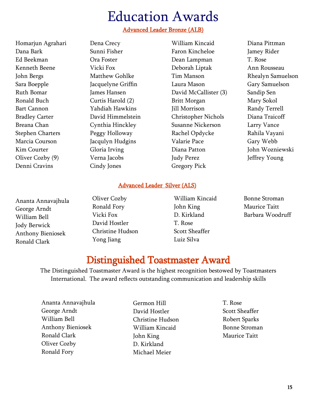### Advanced Leader Bronze (ALB)

Homarjun Agrahari Dana Bark Ed Beekman Kenneth Beene John Bergs Sara Boepple Ruth Bomar Ronald Buch Bart Cannon Bradley Carter Breana Chan Stephen Charters Marcia Courson Kim Courter Oliver Cozby (9) Denni Cravins

Dena Crecy Sunni Fisher Ora Foster Vicki Fox Matthew Gohlke Jacquelyne Griffin James Hansen Curtis Harold (2) Yahdiah Hawkins David Himmelstein Cynthia Hinckley Peggy Holloway Jacqulyn Hudgins Gloria Irving Verna Jacobs Cindy Jones

William Kincaid Faron Kincheloe Dean Lampman Deborah Liptak Tim Manson Laura Mason David McCallister (3) Britt Morgan Jill Morrison Christopher Nichols Susanne Nickerson Rachel Opdycke Valarie Pace Diana Patton Judy Perez Gregory Pick

Diana Pittman Jamey Rider T. Rose Ann Rousseau Rhealyn Samuelson Gary Samuelson Sandip Sen Mary Sokol Randy Terrell Diana Traicoff Larry Vance Rahila Vayani Gary Webb John Wozniewski Jeffrey Young

### Advanced Leader Silver (ALS)

Ananta Annavajhula George Arndt William Bell Jody Berwick Anthony Bieniosek Ronald Clark

Oliver Cozby Ronald Fory Vicki Fox David Hostler Christine Hudson Yong Jiang

William Kincaid John King D. Kirkland T. Rose Scott Sheaffer Luiz Silva

Bonne Stroman Maurice Taitt Barbara Woodruff

## Distinguished Toastmaster Award

The Distinguished Toastmaster Award is the highest recognition bestowed by Toastmasters International. The award reflects outstanding communication and leadership skills

Ananta Annavajhula George Arndt William Bell Anthony Bieniosek Ronald Clark Oliver Cozby Ronald Fory

Germon Hill David Hostler Christine Hudson William Kincaid John King D. Kirkland Michael Meier

T. Rose Scott Sheaffer Robert Sparks Bonne Stroman Maurice Taitt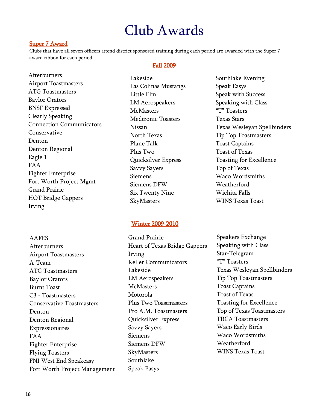## Club Awards

### Super 7 Award

Clubs that have all seven officers attend district sponsored training during each period are awarded with the Super 7 award ribbon for each period.

### Fall 2009

Afterburners Airport Toastmasters ATG Toastmasters Baylor Orators BNSF Expressed Clearly Speaking Connection Communicators Conservative Denton Denton Regional Eagle 1 FAA Fighter Enterprise Fort Worth Project Mgmt Grand Prairie HOT Bridge Gappers Irving

Lakeside Las Colinas Mustangs Little Elm LM Aerospeakers **McMasters** Medtronic Toasters Nissan North Texas Plane Talk Plus Two Quicksilver Express Savvy Sayers Siemens Siemens DFW Six Twenty Nine SkyMasters

Southlake Evening Speak Easys Speak with Success Speaking with Class "T" Toasters Texas Stars Texas Wesleyan Spellbinders Tip Top Toastmasters Toast Captains Toast of Texas Toasting for Excellence Top of Texas Waco Wordsmiths Weatherford Wichita Falls WINS Texas Toast

### Winter 2009-2010

**AAFES** Afterburners Airport Toastmasters A-Team ATG Toastmasters Baylor Orators Burnt Toast C3 - Toastmasters Conservative Toastmasters Denton Denton Regional Expressionaires FAA Fighter Enterprise Flying Toasters FNI West End Speakeasy Fort Worth Project Management

Grand Prairie Heart of Texas Bridge Gappers Irving Keller Communicators Lakeside LM Aerospeakers **McMasters** Motorola Plus Two Toastmasters Pro A.M. Toastmasters Quicksilver Express Savvy Sayers Siemens Siemens DFW **SkyMasters** Southlake Speak Easys

Speakers Exchange Speaking with Class Star-Telegram "T" Toasters Texas Wesleyan Spellbinders Tip Top Toastmasters Toast Captains Toast of Texas Toasting for Excellence Top of Texas Toastmasters TRCA Toastmasters Waco Early Birds Waco Wordsmiths Weatherford WINS Texas Toast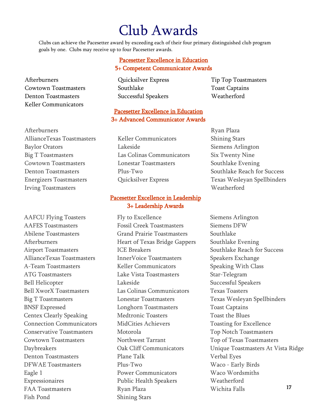## Club Awards

Clubs can achieve the Pacesetter award by exceeding each of their four primary distinguished club program goals by one. Clubs may receive up to four Pacesetter awards.

### Pacesetter Excellence in Education 5+ Competent Communicator Awards

Cowtown Toastmasters Southlake Toast Captains Denton Toastmasters Successful Speakers Weatherford

## Afterburners Cuicksilver Express Tip Top Toastmasters

### Pacesetter Excellence in Education 3+ Advanced Communicator Awards

AllianceTexas Toastmasters Keller Communicators Shining Stars Baylor Orators **Lakeside** Siemens Arlington Big T Toastmasters Las Colinas Communicators Six Twenty Nine Cowtown Toastmasters Lonestar Toastmasters Southlake Evening Denton Toastmasters Plus-Two Plus-Two Southlake Reach for Success

### Pacesetter Excellence in Leadership 3+ Leadership Awards

AAFCU Flying Toasters Fly to Excellence Siemens Arlington AAFES Toastmasters Fossil Creek Toastmasters Siemens DFW Abilene Toastmasters Grand Prairie Toastmasters Southlake Afterburners Heart of Texas Bridge Gappers Southlake Evening Airport Toastmasters **ICE Breakers** Southlake Reach for Success AllianceTexas Toastmasters InnerVoice Toastmasters Speakers Exchange A-Team Toastmasters Keller Communicators Speaking With Class ATG Toastmasters **Lake Vista Toastmasters** Star-Telegram Bell Helicopter Lakeside Successful Speakers Bell XworX Toastmasters Las Colinas Communicators Texas Toasters Big T Toastmasters **Exas Wesleyan Spellbinders** Lonestar Toastmasters Texas Wesleyan Spellbinders BNSF Expressed **Expressed** Longhorn Toastmasters Toast Captains Centex Clearly Speaking Medtronic Toasters Toast the Blues Connection Communicators MidCities Achievers Toasting for Excellence Conservative Toastmasters Motorola Top Notch Toastmasters Cowtown Toastmasters Northwest Tarrant Top of Texas Toastmasters Denton Toastmasters Plane Talk Verbal Eyes DFWAE Toastmasters Plus-Two Waco - Early Birds Eagle 1 **Power Communicators** Waco Wordsmiths Expressionaires Public Health Speakers Weatherford FAA Toastmasters Ryan Plaza Wichita Falls

Energizers Toastmasters **Express** Quicksilver Express Texas Wesleyan Spellbinders

Daybreakers Oak Cliff Communicators Unique Toastmasters At Vista Ridge 17

# Afterburners Ryan Plaza

Keller Communicators

Irving Toastmasters Weatherford

Fish Pond Shining Stars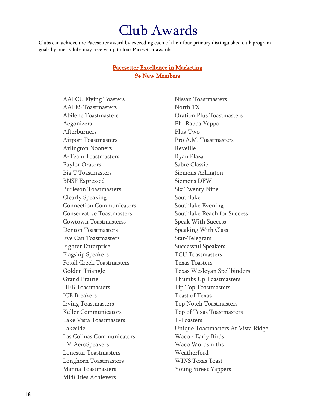## Club Awards

Clubs can achieve the Pacesetter award by exceeding each of their four primary distinguished club program goals by one. Clubs may receive up to four Pacesetter awards.

### Pacesetter Excellence in Marketing 9+ New Members

AAFCU Flying Toasters Nissan Toastmasters AAFES Toastmasters North TX Abilene Toastmasters Oration Plus Toastmasters Aegonizers Phi Rappa Yappa Afterburners Plus-Two Airport Toastmasters Pro A.M. Toastmasters Arlington Nooners Reveille A-Team Toastmasters Ryan Plaza Baylor Orators Sabre Classic Big T Toastmasters Siemens Arlington BNSF Expressed Siemens DFW Burleson Toastmasters Six Twenty Nine Clearly Speaking Southlake Connection Communicators Southlake Evening Cowtown Toastmasterss Speak With Success Denton Toastmasters Speaking With Class Eye Can Toastmasters Star-Telegram Fighter Enterprise Successful Speakers Flagship Speakers TCU Toastmasters Fossil Creek Toastmasters Texas Toasters Grand Prairie Thumbs Up Toastmasters HEB Toastmasters Tip Top Toastmasters ICE Breakers Toast of Texas Irving Toastmasters Top Notch Toastmasters Keller Communicators Top of Texas Toastmasters Lake Vista Toastmasters T-Toasters Las Colinas Communicators Waco - Early Birds LM AeroSpeakers Waco Wordsmiths Lonestar Toastmasters Weatherford Longhorn Toastmasters WINS Texas Toast Manna Toastmasters The Money Street Yappers MidCities Achievers

Conservative Toastmasters Southlake Reach for Success Golden Triangle Texas Wesleyan Spellbinders Lakeside Unique Toastmasters At Vista Ridge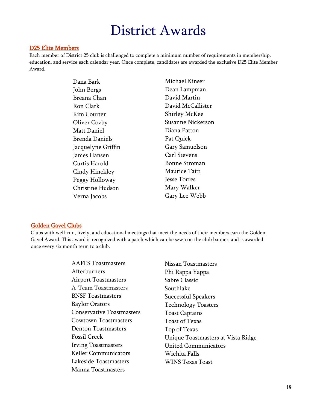### D25 Elite Members

Each member of District 25 club is challenged to complete a minimum number of requirements in membership, education, and service each calendar year. Once complete, candidates are awarded the exclusive D25 Elite Member Award.

| Michael Kinser       |
|----------------------|
| Dean Lampman         |
| David Martin         |
| David McCallister    |
| <b>Shirley McKee</b> |
| Susanne Nickerson    |
| Diana Patton         |
| Pat Quick            |
| Gary Samuelson       |
| <b>Carl Stevens</b>  |
| Bonne Stroman        |
| Maurice Taitt        |
| Jesse Torres         |
| Mary Walker          |
| Gary Lee Webb        |
|                      |

### Golden Gavel Clubs

Clubs with well-run, lively, and educational meetings that meet the needs of their members earn the Golden Gavel Award. This award is recognized with a patch which can be sewn on the club banner, and is awarded once every six month term to a club.

| <b>AAFES</b> Toastmasters        | Nissan Toastmasters                |
|----------------------------------|------------------------------------|
| Afterburners                     | Phi Rappa Yappa                    |
| <b>Airport Toastmasters</b>      | Sabre Classic                      |
| A-Team Toastmasters              | Southlake                          |
| <b>BNSF</b> Toastmasters         | Successful Speakers                |
| <b>Baylor Orators</b>            | <b>Technology Toasters</b>         |
| <b>Conservative Toastmasters</b> | <b>Toast Captains</b>              |
| <b>Cowtown Toastmasters</b>      | <b>Toast of Texas</b>              |
| <b>Denton Toastmasters</b>       | Top of Texas                       |
| <b>Fossil Creek</b>              | Unique Toastmasters at Vista Ridge |
| <b>Irving Toastmasters</b>       | <b>United Communicators</b>        |
| <b>Keller Communicators</b>      | Wichita Falls                      |
| Lakeside Toastmasters            | WINS Texas Toast                   |
| Manna Toastmasters               |                                    |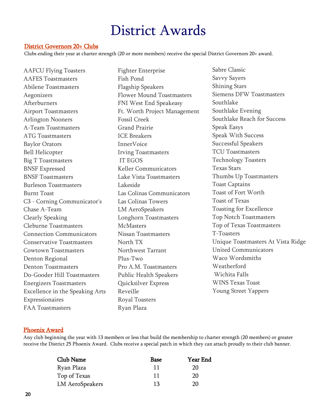### District Governors 20+ Clubs

Clubs ending their year at charter strength (20 or more members) receive the special District Governors 20+ award.

AAFCU Flying Toasters AAFES Toastmasters Abilene Toastmasters Aegonizers Afterburners Airport Toastmasters Arlington Nooners A-Team Toastmasters ATG Toastmasters Baylor Orators Bell Helicopter Big T Toastmasters BNSF Expressed BNSF Toastmasters Burleson Toastmasters Burnt Toast C3 - Corning Communicator's Chase A-Team Clearly Speaking Cleburne Toastmasters Connection Communicators Conservative Toastmasters Cowtown Toastmasters Denton Regional Denton Toastmasters Do-Gooder Hill Toastmasters Energizers Toastmasters Excellence in the Speaking Arts Expressionaires FAA Toastmasters

Fighter Enterprise Fish Pond Flagship Speakers Flower Mound Toastmasters FNI West End Speakeasy Ft. Worth Project Management Fossil Creek Grand Prairie ICE Breakers InnerVoice Irving Toastmasters IT EGOS Keller Communicators Lake Vista Toastmasters Lakeside Las Colinas Communicators Las Colinas Towers LM AeroSpeakers Longhorn Toastmasters **McMasters** Nissan Toastmasters North TX Northwest Tarrant Plus-Two Pro A.M. Toastmasters Public Health Speakers Quicksilver Express Reveille Royal Toasters Ryan Plaza

Sabre Classic Savvy Sayers Shining Stars Siemens DFW Toastmasters Southlake Southlake Evening Southlake Reach for Success Speak Easys Speak With Success Successful Speakers TCU Toastmasters Technology Toasters Texas Stars Thumbs Up Toastmasters Toast Captains Toast of Fort Worth Toast of Texas Toasting for Excellence Top Notch Toastmasters Top of Texas Toastmasters T-Toasters Unique Toastmasters At Vista Ridge United Communicators Waco Wordsmiths Weatherford Wichita Falls WINS Texas Toast Young Street Yappers

### Phoenix Award

Any club beginning the year with 13 members or less that build the membership to charter strength (20 members) or greater receive the District 25 Phoenix Award. Clubs receive a special patch in which they can attach proudly to their club banner.

| Club Name       | Base | Year End |
|-----------------|------|----------|
| Ryan Plaza      | 11   | 20       |
| Top of Texas    | 11   | 20       |
| LM AeroSpeakers | 13   | 20       |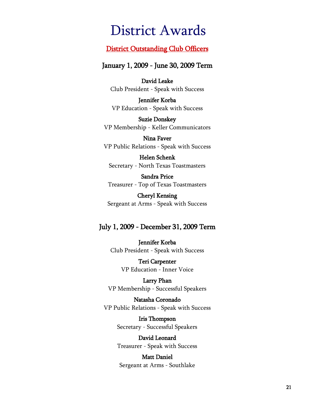### District Outstanding Club Officers

### January 1, 2009 - June 30, 2009 Term

David Leake Club President - Speak with Success

Jennifer Korba VP Education - Speak with Success

Suzie Donskey VP Membership - Keller Communicators

Nina Faver VP Public Relations - Speak with Success

Helen Schenk Secretary - North Texas Toastmasters

Sandra Price Treasurer - Top of Texas Toastmasters

Cheryl Kensing Sergeant at Arms - Speak with Success

### July 1, 2009 - December 31, 2009 Term

Jennifer Korba Club President - Speak with Success

> Teri Carpenter VP Education - Inner Voice

Larry Phan VP Membership - Successful Speakers

Natasha Coronado VP Public Relations - Speak with Success

> Iris Thompson Secretary - Successful Speakers

> David Leonard Treasurer - Speak with Success

Matt Daniel Sergeant at Arms - Southlake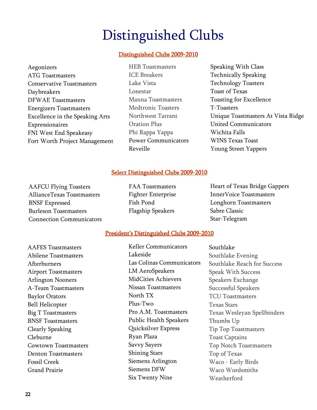## Distinguished Clubs

### Distinguished Clubs 2009-2010

- Aegonizers ATG Toastmasters Conservative Toastmasters Daybreakers DFWAE Toastmasters Energizers Toastmasters Excellence in the Speaking Arts Expressionaires FNI West End Speakeasy Fort Worth Project Management
- HEB Toastmasters ICE Breakers Lake Vista Lonestar Manna Toastmasters Medtronic Toasters Northwest Tarrant Oration Plus Phi Rappa Yappa Power Communicators Reveille
- Speaking With Class Technically Speaking Technology Toasters Toast of Texas Toasting for Excellence T-Toasters Unique Toastmasters At Vista Ridge United Communicators Wichita Falls WINS Texas Toast Young Street Yappers

### Select Distinguished Clubs 2009-2010

AAFCU Flying Toasters AllianceTexas Toastmasters BNSF Expressed Burleson Toastmasters Connection Communicators FAA Toastmasters Fighter Enterprise Fish Pond Flagship Speakers

Heart of Texas Bridge Gappers InnerVoice Toastmasters Longhorn Toastmasters Sabre Classic Star-Telegram

### President's Distinguished Clubs 2009-2010

AAFES Toastmasters Abilene Toastmasters Afterburners Airport Toastmasters Arlington Nooners A-Team Toastmasters Baylor Orators Bell Helicopter Big T Toastmasters BNSF Toastmasters Clearly Speaking Cleburne Cowtown Toastmasters Denton Toastmasters Fossil Creek Grand Prairie

Keller Communicators Lakeside Las Colinas Communicators LM AeroSpeakers MidCities Achievers Nissan Toastmasters North TX Plus-Two Pro A.M. Toastmasters Public Health Speakers Quicksilver Express Ryan Plaza Savvy Sayers Shining Stars Siemens Arlington Siemens DFW Six Twenty Nine

Southlake Southlake Evening Southlake Reach for Success Speak With Success Speakers Exchange Successful Speakers TCU Toastmasters Texas Stars Texas Wesleyan Spellbinders Thumbs Up Tip Top Toastmasters Toast Captains Top Notch Toastmasters Top of Texas Waco - Early Birds Waco Wordsmiths Weatherford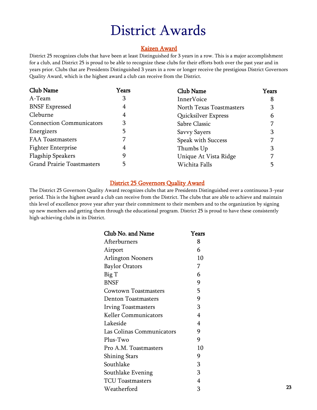### Kaizen Award

District 25 recognizes clubs that have been at least Distinguished for 3 years in a row. This is a major accomplishment for a club, and District 25 is proud to be able to recognize these clubs for their efforts both over the past year and in years prior. Clubs that are Presidents Distinguished 3 years in a row or longer receive the prestigious District Governors Quality Award, which is the highest award a club can receive from the District.

| Club Name                         | Years | Club Name                | Years |
|-----------------------------------|-------|--------------------------|-------|
| A-Team                            | 3     | <b>InnerVoice</b>        | 8     |
| <b>BNSF Expressed</b>             | 4     | North Texas Toastmasters | 3     |
| Cleburne                          | 4     | Quicksilver Express      | 6     |
| <b>Connection Communicators</b>   | 3     | Sabre Classic            |       |
| Energizers                        | 5     | Savvy Sayers             | З     |
| <b>FAA Toastmasters</b>           |       | Speak with Success       |       |
| <b>Fighter Enterprise</b>         | 4     | Thumbs Up                | 3     |
| <b>Flagship Speakers</b>          | 9     | Unique At Vista Ridge    |       |
| <b>Grand Prairie Toastmasters</b> | 5     | Wichita Falls            |       |

### District 25 Governors Quality Award

The District 25 Governors Quality Award recognizes clubs that are Presidents Distinguished over a continuous 3-year period. This is the highest award a club can receive from the District. The clubs that are able to achieve and maintain this level of excellence prove year after year their commitment to their members and to the organization by signing up new members and getting them through the educational program. District 25 is proud to have these consistently high-achieving clubs in its District.

| Club No. and Name           | Years |
|-----------------------------|-------|
| Afterburners                | 8     |
| Airport                     | 6     |
| <b>Arlington Nooners</b>    | 10    |
| <b>Baylor Orators</b>       | 7     |
| Big T                       | 6     |
| <b>BNSF</b>                 | 9     |
| <b>Cowtown Toastmasters</b> | 5     |
| <b>Denton Toastmasters</b>  | 9     |
| <b>Irving Toastmasters</b>  | 3     |
| <b>Keller Communicators</b> | 4     |
| Lakeside                    | 4     |
| Las Colinas Communicators   | 9     |
| Plus-Two                    | 9     |
| Pro A.M. Toastmasters       | 10    |
| <b>Shining Stars</b>        | 9     |
| Southlake                   | 3     |
| Southlake Evening           | 3     |
| <b>TCU Toastmasters</b>     | 4     |
| Weatherford                 | 3     |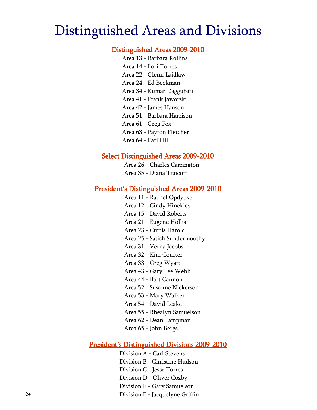## Distinguished Areas and Divisions

### Distinguished Areas 2009-2010

- Area 13 Barbara Rollins Area 14 - Lori Torres Area 22 - Glenn Laidlaw Area 24 - Ed Beekman Area 34 - Kumar Daggubati Area 41 - Frank Jaworski Area 42 - James Hanson Area 51 - Barbara Harrison Area 61 - Greg Fox
- Area 63 Payton Fletcher
- Area 64 Earl Hill

### Select Distinguished Areas 2009-2010

Area 26 - Charles Carrington Area 35 - Diana Traicoff

### President's Distinguished Areas 2009-2010

- Area 11 Rachel Opdycke
- Area 12 Cindy Hinckley
- Area 15 David Roberts
- Area 21 Eugene Hollis
- Area 23 Curtis Harold
- Area 25 Satish Sundermoothy
- Area 31 Verna Jacobs
- Area 32 Kim Courter
- Area 33 Greg Wyatt
- Area 43 Gary Lee Webb
- Area 44 Bart Cannon
- Area 52 Susanne Nickerson
- Area 53 Mary Walker
- Area 54 David Leake
- Area 55 Rhealyn Samuelson
- Area 62 Dean Lampman
- Area 65 John Bergs

### President's Distinguished Divisions 2009-2010

Division A - Carl Stevens Division B - Christine Hudson Division C - Jesse Torres Division D - Oliver Cozby Division E - Gary Samuelson Division F - Jacquelyne Griffin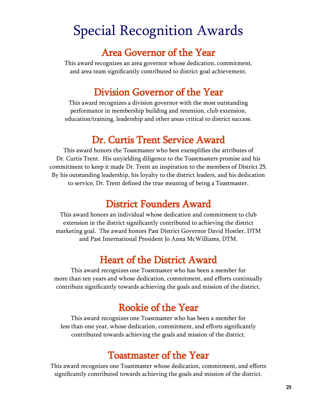## Special Recognition Awards

## Area Governor of the Year

This award recognizes an area governor whose dedication, commitment, and area team significantly contributed to district goal achievement.

## Division Governor of the Year

This award recognizes a division governor with the most outstanding performance in membership building and retention, club extension, education/training, leadership and other areas critical to district success.

## Dr. Curtis Trent Service Award

This award honors the Toastmaster who best exemplifies the attributes of Dr. Curtis Trent. His unyielding diligence to the Toastmasters promise and his commitment to keep it made Dr. Trent an inspiration to the members of District 25. By his outstanding leadership, his loyalty to the district leaders, and his dedication to service, Dr. Trent defined the true meaning of being a Toastmaster.

## District Founders Award

This award honors an individual whose dedication and commitment to club extension in the district significantly contributed to achieving the district marketing goal. The award honors Past District Governor David Hostler, DTM and Past International President Jo Anna McWilliams, DTM.

## Heart of the District Award

This award recognizes one Toastmaster who has been a member for more than ten years and whose dedication, commitment, and efforts continually contribute significantly towards achieving the goals and mission of the district.

## Rookie of the Year

This award recognizes one Toastmaster who has been a member for less than one year, whose dedication, commitment, and efforts significantly contributed towards achieving the goals and mission of the district.

## Toastmaster of the Year

This award recognizes one Toastmaster whose dedication, commitment, and efforts significantly contributed towards achieving the goals and mission of the district.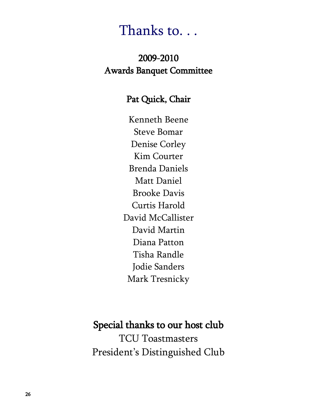## Thanks to. . .

## 2009-2010 Awards Banquet Committee

### Pat Quick, Chair

Kenneth Beene Steve Bomar Denise Corley Kim Courter Brenda Daniels Matt Daniel Brooke Davis Curtis Harold David McCallister David Martin Diana Patton Tisha Randle Jodie Sanders Mark Tresnicky

Special thanks to our host club TCU Toastmasters President's Distinguished Club